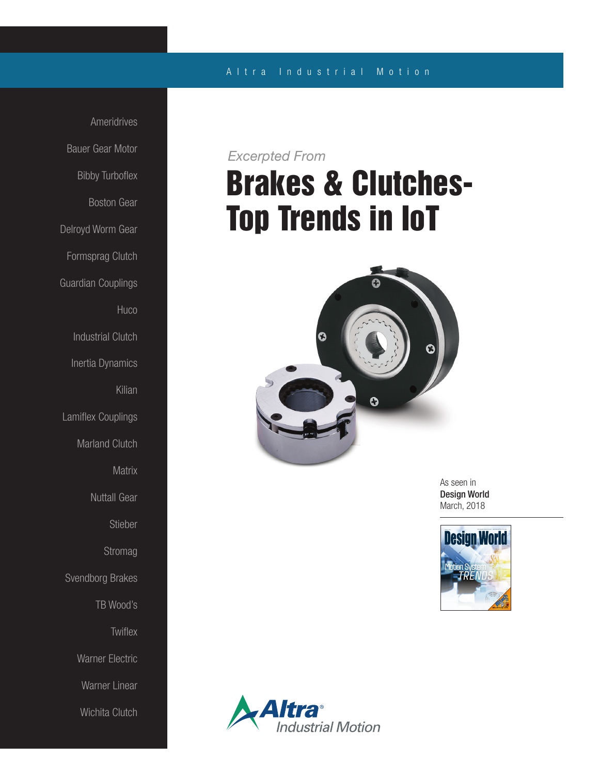#### A l t r a Industrial Motion

Ameridrives Bauer Gear Motor Bibby Turboflex Boston Gear Delroyd Worm Gear Formsprag Clutch Guardian Couplings **Huco** Industrial Clutch Inertia Dynamics Kilian Lamiflex Couplings Marland Clutch **Matrix** Nuttall Gear Stieber **Stromag** Svendborg Brakes TB Wood's **Twiflex** Warner Electric Warner Linear Wichita Clutch

### *Excerpted From*

# Brakes & Clutches-Top Trends in IoT



As seen in Design World March, 2018



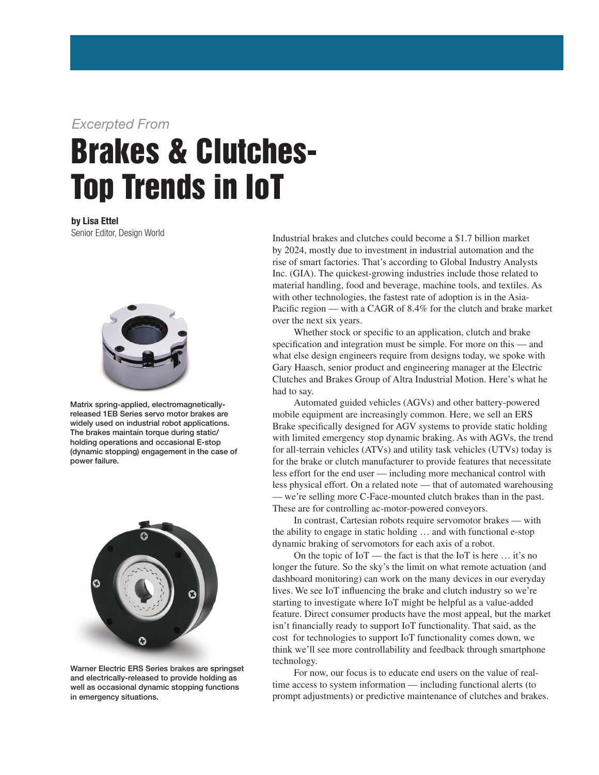### *Excerpted From*

# Brakes & Clutches-Top Trends in IoT

by Lisa Ettel Senior Editor, Design World



Matrix spring-applied, electromagneticallyreleased 1EB Series servo motor brakes are widely used on industrial robot applications. The brakes maintain torque during static/ holding operations and occasional E-stop (dynamic stopping) engagement in the case of power failure.



Warner Electric ERS Series brakes are springset and electrically-released to provide holding as well as occasional dynamic stopping functions in emergency situations.

Industrial brakes and clutches could become a \$1.7 billion market by 2024, mostly due to investment in industrial automation and the rise of smart factories. That's according to Global Industry Analysts Inc. (GIA). The quickest-growing industries include those related to material handling, food and beverage, machine tools, and textiles. As with other technologies, the fastest rate of adoption is in the Asia-Pacific region — with a CAGR of 8.4% for the clutch and brake market over the next six years.

 Whether stock or specific to an application, clutch and brake specification and integration must be simple. For more on this — and what else design engineers require from designs today, we spoke with Gary Haasch, senior product and engineering manager at the Electric Clutches and Brakes Group of Altra Industrial Motion. Here's what he had to say.

 Automated guided vehicles (AGVs) and other battery-powered mobile equipment are increasingly common. Here, we sell an ERS Brake specifically designed for AGV systems to provide static holding with limited emergency stop dynamic braking. As with AGVs, the trend for all-terrain vehicles (ATVs) and utility task vehicles (UTVs) today is for the brake or clutch manufacturer to provide features that necessitate less effort for the end user — including more mechanical control with less physical effort. On a related note — that of automated warehousing — we're selling more C-Face-mounted clutch brakes than in the past. These are for controlling ac-motor-powered conveyors.

 In contrast, Cartesian robots require servomotor brakes — with the ability to engage in static holding … and with functional e-stop dynamic braking of servomotors for each axis of a robot.

On the topic of  $I \circ T$  — the fact is that the IoT is here  $\dots$  it's no longer the future. So the sky's the limit on what remote actuation (and dashboard monitoring) can work on the many devices in our everyday lives. We see IoT influencing the brake and clutch industry so we're starting to investigate where IoT might be helpful as a value-added feature. Direct consumer products have the most appeal, but the market isn't financially ready to support IoT functionality. That said, as the cost for technologies to support IoT functionality comes down, we think we'll see more controllability and feedback through smartphone technology.

 For now, our focus is to educate end users on the value of realtime access to system information — including functional alerts (to prompt adjustments) or predictive maintenance of clutches and brakes.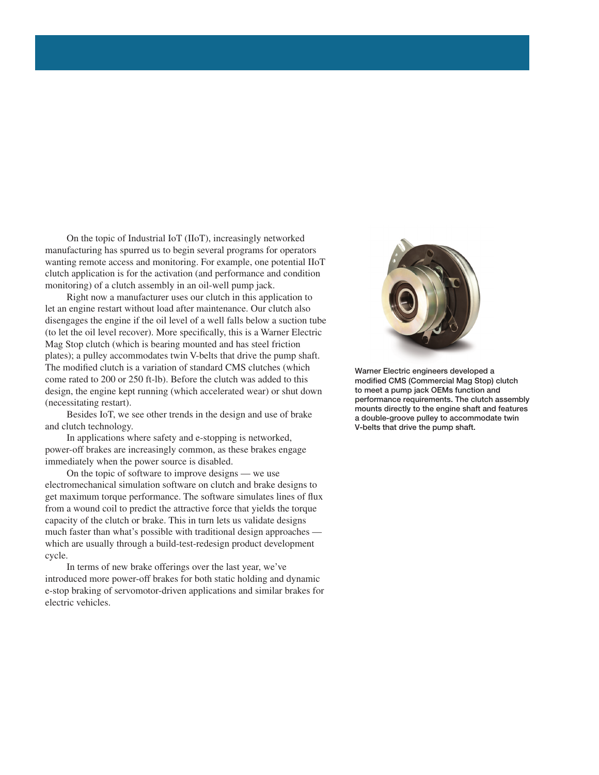On the topic of Industrial IoT (IIoT), increasingly networked manufacturing has spurred us to begin several programs for operators wanting remote access and monitoring. For example, one potential IIoT clutch application is for the activation (and performance and condition monitoring) of a clutch assembly in an oil-well pump jack.

 Right now a manufacturer uses our clutch in this application to let an engine restart without load after maintenance. Our clutch also disengages the engine if the oil level of a well falls below a suction tube (to let the oil level recover). More specifically, this is a Warner Electric Mag Stop clutch (which is bearing mounted and has steel friction plates); a pulley accommodates twin V-belts that drive the pump shaft. The modified clutch is a variation of standard CMS clutches (which come rated to 200 or 250 ft-lb). Before the clutch was added to this design, the engine kept running (which accelerated wear) or shut down (necessitating restart).

 Besides IoT, we see other trends in the design and use of brake and clutch technology.

 In applications where safety and e-stopping is networked, power-off brakes are increasingly common, as these brakes engage immediately when the power source is disabled.

 On the topic of software to improve designs — we use electromechanical simulation software on clutch and brake designs to get maximum torque performance. The software simulates lines of flux from a wound coil to predict the attractive force that yields the torque capacity of the clutch or brake. This in turn lets us validate designs much faster than what's possible with traditional design approaches which are usually through a build-test-redesign product development cycle.

 In terms of new brake offerings over the last year, we've introduced more power-off brakes for both static holding and dynamic e-stop braking of servomotor-driven applications and similar brakes for electric vehicles.



Warner Electric engineers developed a modified CMS (Commercial Mag Stop) clutch to meet a pump jack OEMs function and performance requirements. The clutch assembly mounts directly to the engine shaft and features a double-groove pulley to accommodate twin V-belts that drive the pump shaft.